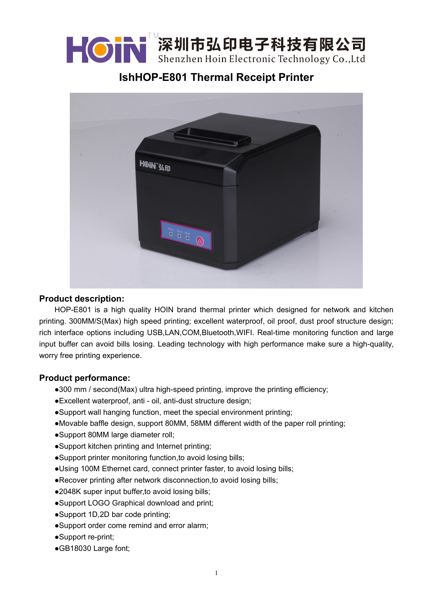

**IshHOP-E801 Thermal Receipt Printer**



# **Product description:**

HOP-E801 is a high quality HOIN brand thermal printer which designed for network and kitchen printing. 300MM/S(Max) high speed printing; excellent waterproof, oil proof, dust proof structure design; rich interface options including USB,LAN,COM,Bluetooth,WIFI. Real-time monitoring function and large input buffer can avoid bills losing. Leading technology with high performance make sure a high-quality, worry free printing experience.

### **Product performance:**

- ●300 mm / second(Max) ultra high-speed printing, improve the printing efficiency;
- ●Excellent waterproof, anti oil, anti-dust structure design;
- ●Support wall hanging function, meet the special environment printing;
- ●Movable baffle design, support 80MM, 58MM different width of the paper roll printing;
- ●Support 80MM large diameter roll;
- ●Support kitchen printing and Internet printing;
- ●Support printer monitoring function,to avoid losing bills;
- ●Using 100M Ethernet card, connect printer faster, to avoid losing bills;
- ●Recover printing after network disconnection,to avoid losing bills;
- ●2048K super input buffer, to avoid losing bills;
- ●Support LOGO Graphical download and print;
- ●Support 1D,2D bar code printing;
- ●Support order come remind and error alarm;
- ●Support re-print;
- ●GB18030 Large font;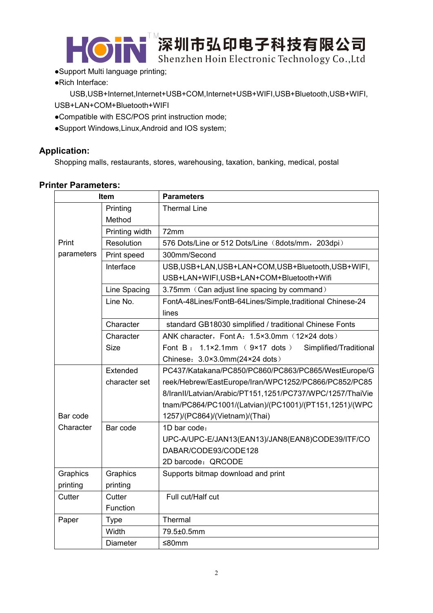

- ●Support Multi language printing;
- ●Rich Interface:

USB,USB+Internet,Internet+USB+COM,Internet+USB+WIFI,USB+Bluetooth,USB+WIFI, USB+LAN+COM+Bluetooth+WIFI

- ●Compatible with ESC/POS print instruction mode;
- ●Support Windows,Linux,Android and IOS system;

## **Application:**

Shopping malls, restaurants, stores, warehousing, taxation, banking, medical, postal

### **Printer Parameters:**

| <b>Item</b> |                 | <b>Parameters</b>                                                           |
|-------------|-----------------|-----------------------------------------------------------------------------|
|             | Printing        | <b>Thermal Line</b>                                                         |
|             | Method          |                                                                             |
|             | Printing width  | 72mm                                                                        |
| Print       | Resolution      | 576 Dots/Line or 512 Dots/Line (8dots/mm, 203dpi)                           |
| parameters  | Print speed     | 300mm/Second                                                                |
|             | Interface       | USB, USB+LAN, USB+LAN+COM, USB+Bluetooth, USB+WIFI,                         |
|             |                 | USB+LAN+WIFI,USB+LAN+COM+Bluetooth+Wifi                                     |
|             | Line Spacing    | 3.75mm (Can adjust line spacing by command)                                 |
|             | Line No.        | FontA-48Lines/FontB-64Lines/Simple,traditional Chinese-24                   |
|             |                 | lines                                                                       |
|             | Character       | standard GB18030 simplified / traditional Chinese Fonts                     |
|             | Character       | ANK character, Font A: 1.5×3.0mm (12×24 dots)                               |
|             | <b>Size</b>     | Font B: $1.1 \times 2.1$ mm ( $9 \times 17$ dots)<br>Simplified/Traditional |
|             |                 | Chinese: 3.0×3.0mm(24×24 dots)                                              |
|             | Extended        | PC437/Katakana/PC850/PC860/PC863/PC865/WestEurope/G                         |
|             | character set   | reek/Hebrew/EastEurope/Iran/WPC1252/PC866/PC852/PC85                        |
|             |                 | 8/IranII/Latvian/Arabic/PT151,1251/PC737/WPC/1257/ThaiVie                   |
|             |                 | tnam/PC864/PC1001/(Latvian)/(PC1001)/(PT151,1251)/(WPC                      |
| Bar code    |                 | 1257)/(PC864)/(Vietnam)/(Thai)                                              |
| Character   | Bar code        | 1D bar code:                                                                |
|             |                 | UPC-A/UPC-E/JAN13(EAN13)/JAN8(EAN8)CODE39/ITF/CO                            |
|             |                 | DABAR/CODE93/CODE128                                                        |
|             |                 | 2D barcode: QRCODE                                                          |
| Graphics    | Graphics        | Supports bitmap download and print                                          |
| printing    | printing        |                                                                             |
| Cutter      | Cutter          | Full cut/Half cut                                                           |
|             | Function        |                                                                             |
| Paper       | <b>Type</b>     | Thermal                                                                     |
|             | Width           | 79.5±0.5mm                                                                  |
|             | <b>Diameter</b> | ≤80mm                                                                       |